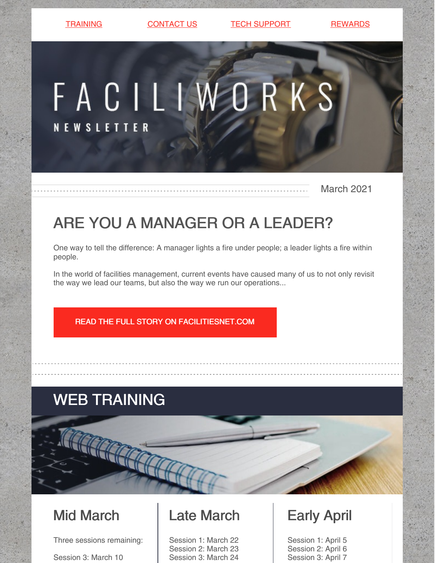[TRAINING](https://faciliworks.com/training-schedule/) [CONTACT](https://faciliworks.com/contact-us/) US CONTECH [SUPPORT](https://faciliworks.com/support/) [REWARDS](https://cybermetrics.com/referral-rewards/)

# FACILIWORKS **NEWSLETTER**

March 2021

## ARE YOU A MANAGER OR A LEADER?

One way to tell the difference: A manager lights a fire under people; a leader lights a fire within people.

In the world of facilities management, current events have caused many of us to not only revisit the way we lead our teams, but also the way we run our operations...

READ THE FULL STORY ON [FACILITIESNET.COM](https://www.facilitiesnet.com/facilitiesmanagement/article/Are-You-a-Manager-or-a-Leader--19167)

### WEB TRAINING

### Mid March

Three sessions remaining:

Session 3: March 10

### Late March

Session 1: March 22 Session 2: March 23 Session 3: March 24

#### Early April

Session 1: April 5 Session 2: April 6 Session 3: April 7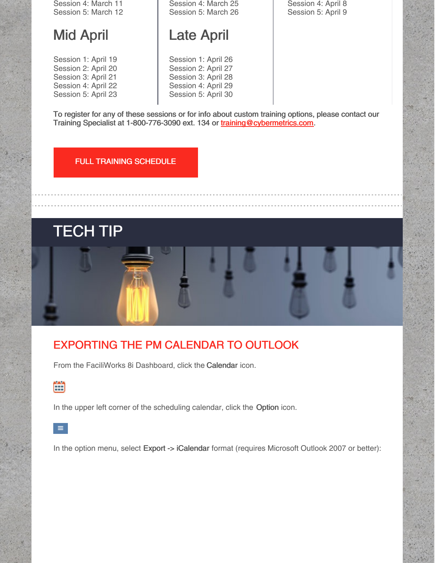Session 4: March 11 Session 5: March 12

#### Mid April

Session 1: April 19 Session 2: April 20 Session 3: April 21 Session 4: April 22 Session 5: April 23 Session 4: March 25 Session 5: March 26

#### Late April

Session 1: April 26 Session 2: April 27 Session 3: April 28 Session 4: April 29 Session 5: April 30 Session 4: April 8 Session 5: April 9

To register for any of these sessions or for info about custom training options, please contact our Training Specialist at 1-800-776-3090 ext. 134 or [training@cybermetrics.com.](mailto:training@cybermetrics.com)

#### FULL TRAINING [SCHEDULE](https://faciliworks.com/training-schedule/)

TECH TIP

#### EXPORTING THE PM CALENDAR TO OUTLOOK

From the FaciliWorks 8i Dashboard, click the Calendar icon.



In the upper left corner of the scheduling calendar, click the Option icon.



In the option menu, select Export -> iCalendar format (requires Microsoft Outlook 2007 or better):